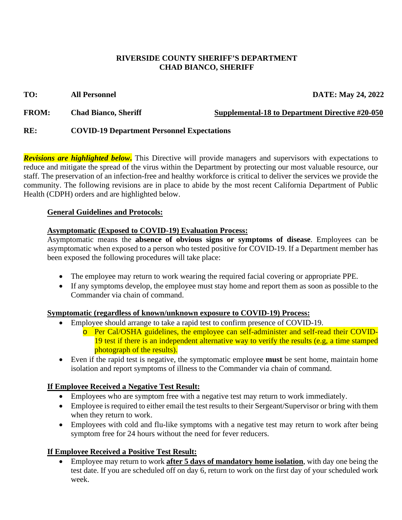### **RIVERSIDE COUNTY SHERIFF'S DEPARTMENT CHAD BIANCO, SHERIFF**

### **TO: All Personnel DATE: May 24, 2022**

**FROM:** Chad Bianco, Sheriff Supplemental-18 to Department Directive #20-050

# **RE: COVID-19 Department Personnel Expectations**

*Revisions are highlighted below***.** This Directive will provide managers and supervisors with expectations to reduce and mitigate the spread of the virus within the Department by protecting our most valuable resource, our staff. The preservation of an infection-free and healthy workforce is critical to deliver the services we provide the community. The following revisions are in place to abide by the most recent California Department of Public Health (CDPH) orders and are highlighted below.

## **General Guidelines and Protocols:**

# **Asymptomatic (Exposed to COVID-19) Evaluation Process:**

Asymptomatic means the **absence of obvious signs or symptoms of disease**. Employees can be asymptomatic when exposed to a person who tested positive for COVID-19. If a Department member has been exposed the following procedures will take place:

- The employee may return to work wearing the required facial covering or appropriate PPE.
- If any symptoms develop, the employee must stay home and report them as soon as possible to the Commander via chain of command.

## **Symptomatic (regardless of known/unknown exposure to COVID-19) Process:**

- Employee should arrange to take a rapid test to confirm presence of COVID-19.
	- o Per Cal/OSHA guidelines, the employee can self-administer and self-read their COVID-19 test if there is an independent alternative way to verify the results (e.g, a time stamped photograph of the results).
- Even if the rapid test is negative, the symptomatic employee **must** be sent home, maintain home isolation and report symptoms of illness to the Commander via chain of command.

# **If Employee Received a Negative Test Result:**

- Employees who are symptom free with a negative test may return to work immediately.
- Employee is required to either email the test results to their Sergeant/Supervisor or bring with them when they return to work.
- Employees with cold and flu-like symptoms with a negative test may return to work after being symptom free for 24 hours without the need for fever reducers.

# **If Employee Received a Positive Test Result:**

• Employee may return to work **after 5 days of mandatory home isolation**, with day one being the test date. If you are scheduled off on day 6, return to work on the first day of your scheduled work week.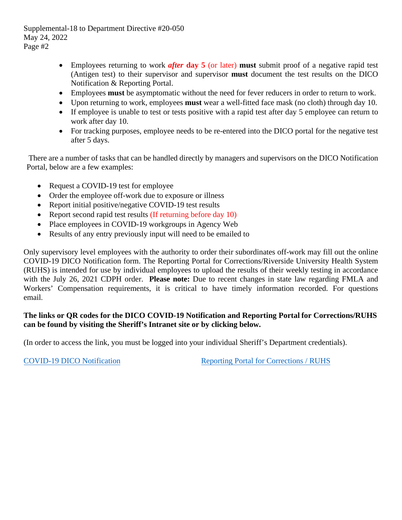- Employees returning to work *after* **day 5** (or later) **must** submit proof of a negative rapid test (Antigen test) to their supervisor and supervisor **must** document the test results on the DICO Notification & Reporting Portal.
- Employees **must** be asymptomatic without the need for fever reducers in order to return to work.
- Upon returning to work, employees **must** wear a well-fitted face mask (no cloth) through day 10.
- If employee is unable to test or tests positive with a rapid test after day 5 employee can return to work after day 10.
- For tracking purposes, employee needs to be re-entered into the DICO portal for the negative test after 5 days.

There are a number of tasks that can be handled directly by managers and supervisors on the DICO Notification Portal, below are a few examples:

- Request a COVID-19 test for employee
- Order the employee of f-work due to exposure or illness
- Report initial positive/negative COVID-19 test results
- Report second rapid test results (If returning before day 10)
- Place employees in COVID-19 workgroups in Agency Web
- Results of any entry previously input will need to be emailed to

Only supervisory level employees with the authority to order their subordinates off-work may fill out the online COVID-19 DICO Notification form. The Reporting Portal for Corrections/Riverside University Health System (RUHS) is intended for use by individual employees to upload the results of their weekly testing in accordance with the July 26, 2021 CDPH order. **Please note:** Due to recent changes in state law regarding FMLA and Workers' Compensation requirements, it is critical to have timely information recorded. For questions [email](mailto:coviddata@riversidesheriff.org).

## **The links or QR codes for the DICO COVID-19 Notification and Reporting Portal for Corrections/RUHS can be found by visiting the Sheriff's Intranet site or by clicking below.**

(In order to access the link, you must be logged into your individual Sheriff's Department credentials).

COVID-19 DICO [Notification](https://gcc02.safelinks.protection.outlook.com/?url=https%3A%2F%2Fforms.microsoft.com%2FPages%2FResponsePage.aspx%3Fid%3D76y2tweuQk2m0qLVkujxc7W9u1v9nzpKkZNHC4g93MJUMTJRNDlLRVpENDJPVEs5VEVQQk1NR0xZMS4u&data=04%7C01%7Cmltapia%40riversidesheriff.org%7C7b21e78500f44ac83c7e08d8a39585b1%7Cb7b6acefae074d42a6d2a2d592e8f173%7C0%7C0%7C637439209882256935%7CUnknown%7CTWFpbGZsb3d8eyJWIjoiMC4wLjAwMDAiLCJQIjoiV2luMzIiLCJBTiI6Ik1haWwiLCJXVCI6Mn0%3D%7C1000&sdata=ZjDaL3o%2FkaAqkgKPuH%2Bo%2FlbW%2BoU%2FX8hDgsn2LOm8Cfw%3D&reserved=0) [Reporting Portal for Corrections / RUHS](https://forms.office.com/Pages/ResponsePage.aspx?id=76y2tweuQk2m0qLVkujxc9YiEEdLd_tMsX7hRN8HdJBUQVA2NVNBM0RPNlNWU0o4RUQ3UlMyS0IwRy4u)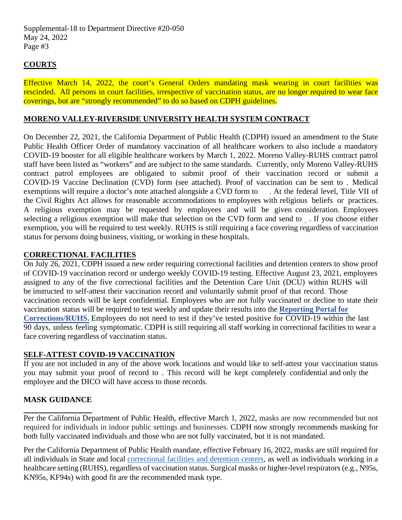## **COURTS**

Effective March 14, 2022, the court's General Orders mandating mask wearing in court facilities was rescinded. All persons in court facilities, irrespective of vaccination status, are no longer required to wear face coverings, but are "strongly recommended" to do so based on CDPH guidelines.

## **MORENO VALLEY-RIVERSIDE UNIVERSITY HEALTH SYSTEM CONTRACT**

On December 22, 2021, the California Department of Public Health (CDPH) issued an amendment to the State Public Health Officer Order of mandatory vaccination of all healthcare workers to also include a mandatory COVID-19 booster for all eligible healthcare workers by March 1, 2022. Moreno Valley-RUHS contract patrol staff have been listed as "workers" and are subject to the same standards. Currently, only Moreno Valley-RUHS contract patrol employees are obligated to submit proof of their vaccination record or submit a COVID-19 Vaccine Declination (CVD) form (see attached). Proof of vaccination can be sent to [.](mailto:vaccine@riversidesheriff.org) Medical exemptions will require a doctor's note attached alongside a CVD form t[o](mailto:vaccine@riversidesheriff.org) . At the federal level, Title VII of the Civil Rights Act allows for reasonable accommodations to employees with religious beliefs or practices. A religious exemption may be requested by employees and will be given consideration. Employees selecting a religious exemption will make that selection on the CVD form and send to . If you choose either [exemption, you will be requir](mailto:vaccine@riversidesheriff.org)ed to test weekly. RUHS is still requiring a face covering regardless of vaccination status for persons doing business, visiting, or working in these hospitals.

## **CORRECTIONAL FACILITIES**

On July 26, 2021, CDPH issued a new order requiring correctional facilities and detention centers to show proof of COVID-19 vaccination record or undergo weekly COVID-19 testing. Effective August 23, 2021, employees assigned to any of the five correctional facilities and the Detention Care Unit (DCU) within RUHS will be instructed to self-attest their vaccination record and voluntarily submit proof of that record. Those vaccination records will be kept confidential. Employees who are not fully vaccinated or decline to state their vaccination status will be required to test weekly and update their results into the **Reporting Portal for Corrections/RUHS.** [Employees do not need to test if they've tested positive for COVID-19 within th](http://intranet.riversidesheriff.org/COVID19/CorrectionsReportingPortal.asp)e last 90 days, unless feeling symptomatic. CDPH is still requiring all staff working in correctional facilities to wear a face covering regardless of vaccination status.

## **SELF-ATTEST COVID-19 VACCINATION**

If you are not included in any of the above work locations and would like to self-attest your vaccination status you may submit your proof of record t[o .](mailto:vaccine@riversidesheriff.org) This record will be kept completely confidential and only the employee and the DICO will have access to those records.

## **MASK GUIDANCE**

Per the California Department of Public Health, effective March 1, 2022, masks are now recommended but not required for individuals in indoor public settings and businesses. CDPH now strongly recommends masking for both fully vaccinated individuals and those who are not fully vaccinated, but it is not mandated.

Per the California Department of Public Health mandate, effective February 16, 2022, masks are still required for all individuals in State and local [correctional facilities and detention centers,](https://gcc02.safelinks.protection.outlook.com/?url=https%3A%2F%2Fwww.cdc.gov%2Fcoronavirus%2F2019-ncov%2Fcommunity%2Fcorrection-detention%2Fguidance-correctional-detention.html%23infection-control&data=04%7C01%7Cmltapia%40riversidesheriff.org%7Cd07781b661c243e62c8008d9f0bd2867%7Cb7b6acefae074d42a6d2a2d592e8f173%7C0%7C0%7C637805517510076634%7CUnknown%7CTWFpbGZsb3d8eyJWIjoiMC4wLjAwMDAiLCJQIjoiV2luMzIiLCJBTiI6Ik1haWwiLCJXVCI6Mn0%3D%7C3000&sdata=sBhvM4MXrFGLJAfmrtAdDAuEWPYuY7zjuPyRA6NDbr8%3D&reserved=0) as well as individuals working in a healthcare setting (RUHS), regardless of vaccination status. Surgical masks or higher-level respirators (e.g., N95s, KN95s, KF94s) with good fit are the recommended mask type.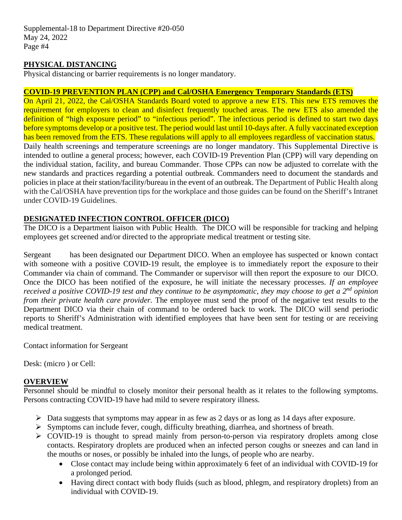### **PHYSICAL DISTANCING**

Physical distancing or barrier requirements is no longer mandatory.

#### **COVID-19 PREVENTION PLAN (CPP) and Cal/OSHA Emergency Temporary Standards (ETS)**

On April 21, 2022, the Cal/OSHA Standards Board voted to approve a new ETS. This new ETS removes the requirement for employers to clean and disinfect frequently touched areas. The new ETS also amended the definition of "high exposure period" to "infectious period". The infectious period is defined to start two days before symptoms develop or a positive test. The period would last until 10-days after. A fully vaccinated exception has been removed from the ETS. These regulations will apply to all employees regardless of vaccination status. Daily health screenings and temperature screenings are no longer mandatory. This Supplemental Directive is intended to outline a general process; however, each COVID-19 Prevention Plan (CPP) will vary depending on the individual station, facility, and bureau Commander. Those CPPs can now be adjusted to correlate with the new standards and practices regarding a potential outbreak. Commanders need to document the standards and policies in place at their station/facility/bureau in the event of an outbreak. The Department of Public Health along with the Cal/OSHA have prevention tips for the workplace and those guides can be found on the Sheriff's Intranet under COVID-19 Guidelines.

### **DESIGNATED INFECTION CONTROL OFFICER (DICO)**

The DICO is a Department liaison with Public Health. The DICO will be responsible for tracking and helping employees get screened and/or directed to the appropriate medical treatment or testing site.

Sergeant has been designated our Department DICO. When an employee has suspected or known contact with someone with a positive COVID-19 result, the employee is to immediately report the exposure to their Commander via chain of command. The Commander or supervisor will then report the exposure to our DICO. Once the DICO has been notified of the exposure, he will initiate the necessary processes. *If an employee received a positive COVID-19 test and they continue to be asymptomatic, they may choose to get a 2nd opinion from their private health care provider.* The employee must send the proof of the negative test results to the Department DICO via their chain of command to be ordered back to work. The DICO will send periodic reports to Sheriff's Administration with identified employees that have been sent for testing or are receiving medical treatment.

Contact information for Sergeant

Desk: (micro ) or Cell:

#### **OVERVIEW**

Personnel should be mindful to closely monitor their personal health as it relates to the following symptoms. Persons contracting COVID-19 have had mild to severe respiratory illness.

- $\triangleright$  Data suggests that symptoms may appear in as few as 2 days or as long as 14 days after exposure.
- Symptoms can include fever, cough, difficulty breathing, diarrhea, and shortness of breath.
- $\triangleright$  COVID-19 is thought to spread mainly from person-to-person via respiratory droplets among close contacts. Respiratory droplets are produced when an infected person coughs or sneezes and can land in the mouths or noses, or possibly be inhaled into the lungs, of people who are nearby.
	- Close contact may include being within approximately 6 feet of an individual with COVID-19 for a prolonged period.
	- Having direct contact with body fluids (such as blood, phlegm, and respiratory droplets) from an individual with COVID-19.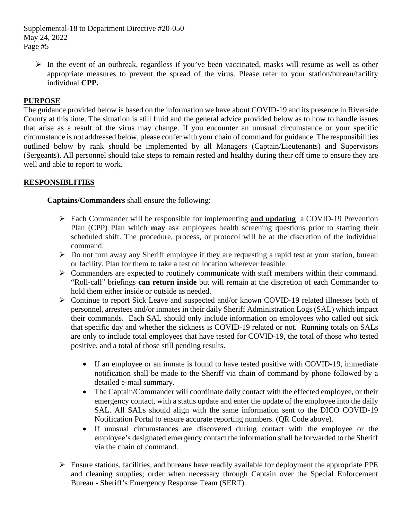$\triangleright$  In the event of an outbreak, regardless if you've been vaccinated, masks will resume as well as other appropriate measures to prevent the spread of the virus. Please refer to your station/bureau/facility individual **CPP.**

## **PURPOSE**

The guidance provided below is based on the information we have about COVID-19 and its presence in Riverside County at this time. The situation is still fluid and the general advice provided below as to how to handle issues that arise as a result of the virus may change. If you encounter an unusual circumstance or your specific circumstance is not addressed below, please confer with your chain of command for guidance. The responsibilities outlined below by rank should be implemented by all Managers (Captain/Lieutenants) and Supervisors (Sergeants). All personnel should take steps to remain rested and healthy during their off time to ensure they are well and able to report to work.

## **RESPONSIBLITIES**

**Captains/Commanders** shall ensure the following:

- Each Commander will be responsible for implementing **and updating** a COVID-19 Prevention Plan (CPP) Plan which **may** ask employees health screening questions prior to starting their scheduled shift. The procedure, process, or protocol will be at the discretion of the individual command.
- $\triangleright$  Do not turn away any Sheriff employee if they are requesting a rapid test at your station, bureau or facility. Plan for them to take a test on location wherever feasible.
- Commanders are expected to routinely communicate with staff members within their command. "Roll-call" briefings **can return inside** but will remain at the discretion of each Commander to hold them either inside or outside as needed.
- Continue to report Sick Leave and suspected and/or known COVID-19 related illnesses both of personnel, arrestees and/or inmates in their daily Sheriff Administration Logs (SAL) which impact their commands. Each SAL should only include information on employees who called out sick that specific day and whether the sickness is COVID-19 related or not. Running totals on SALs are only to include total employees that have tested for COVID-19, the total of those who tested positive, and a total of those still pending results.
	- If an employee or an inmate is found to have tested positive with COVID-19, immediate notification shall be made to the Sheriff via chain of command by phone followed by a detailed e-mail summary.
	- The Captain/Commander will coordinate daily contact with the effected employee, or their emergency contact, with a status update and enter the update of the employee into the daily SAL. All SALs should align with the same information sent to the DICO COVID-19 Notification Portal to ensure accurate reporting numbers. (QR Code above).
	- If unusual circumstances are discovered during contact with the employee or the employee's designated emergency contact the information shall be forwarded to the Sheriff via the chain of command.
- $\triangleright$  Ensure stations, facilities, and bureaus have readily available for deployment the appropriate PPE and cleaning supplies; order when necessary through Captain over the Special Enforcement Bureau - Sheriff's Emergency Response Team (SERT).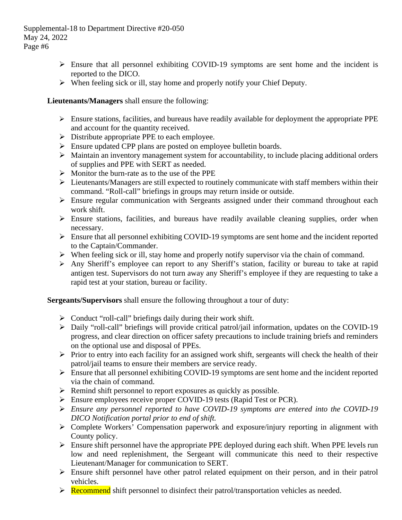- $\triangleright$  Ensure that all personnel exhibiting COVID-19 symptoms are sent home and the incident is reported to the DICO.
- $\triangleright$  When feeling sick or ill, stay home and properly notify your Chief Deputy.

## **Lieutenants/Managers** shall ensure the following:

- $\triangleright$  Ensure stations, facilities, and bureaus have readily available for deployment the appropriate PPE and account for the quantity received.
- > Distribute appropriate PPE to each employee.
- Ensure updated CPP plans are posted on employee bulletin boards.
- $\triangleright$  Maintain an inventory management system for accountability, to include placing additional orders of supplies and PPE with SERT as needed.
- $\triangleright$  Monitor the burn-rate as to the use of the PPE
- $\triangleright$  Lieutenants/Managers are still expected to routinely communicate with staff members within their command. "Roll-call" briefings in groups may return inside or outside.
- $\triangleright$  Ensure regular communication with Sergeants assigned under their command throughout each work shift.
- $\triangleright$  Ensure stations, facilities, and bureaus have readily available cleaning supplies, order when necessary.
- Ensure that all personnel exhibiting COVID-19 symptoms are sent home and the incident reported to the Captain/Commander.
- $\triangleright$  When feeling sick or ill, stay home and properly notify supervisor via the chain of command.
- Any Sheriff's employee can report to any Sheriff's station, facility or bureau to take at rapid antigen test. Supervisors do not turn away any Sheriff's employee if they are requesting to take a rapid test at your station, bureau or facility.

**Sergeants/Supervisors** shall ensure the following throughout a tour of duty:

- $\triangleright$  Conduct "roll-call" briefings daily during their work shift.
- Daily "roll-call" briefings will provide critical patrol/jail information, updates on the COVID-19 progress, and clear direction on officer safety precautions to include training briefs and reminders on the optional use and disposal of PPEs.
- $\triangleright$  Prior to entry into each facility for an assigned work shift, sergeants will check the health of their patrol/jail teams to ensure their members are service ready.
- $\triangleright$  Ensure that all personnel exhibiting COVID-19 symptoms are sent home and the incident reported via the chain of command.
- $\triangleright$  Remind shift personnel to report exposures as quickly as possible.
- Ensure employees receive proper COVID-19 tests (Rapid Test or PCR).
- *Ensure any personnel reported to have COVID-19 symptoms are entered into the COVID-19 DICO Notification portal prior to end of shift.*
- Complete Workers' Compensation paperwork and exposure/injury reporting in alignment with County policy.
- $\triangleright$  Ensure shift personnel have the appropriate PPE deployed during each shift. When PPE levels run low and need replenishment, the Sergeant will communicate this need to their respective Lieutenant/Manager for communication to SERT.
- $\triangleright$  Ensure shift personnel have other patrol related equipment on their person, and in their patrol vehicles.
- $\triangleright$  Recommend shift personnel to disinfect their patrol/transportation vehicles as needed.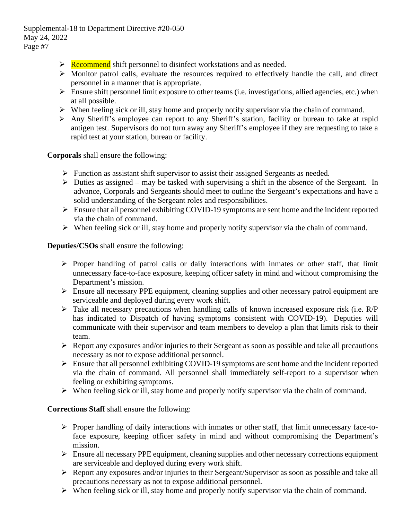- $\triangleright$  Recommend shift personnel to disinfect workstations and as needed.
- $\triangleright$  Monitor patrol calls, evaluate the resources required to effectively handle the call, and direct personnel in a manner that is appropriate.
- $\triangleright$  Ensure shift personnel limit exposure to other teams (i.e. investigations, allied agencies, etc.) when at all possible.
- $\triangleright$  When feeling sick or ill, stay home and properly notify supervisor via the chain of command.
- Any Sheriff's employee can report to any Sheriff's station, facility or bureau to take at rapid antigen test. Supervisors do not turn away any Sheriff's employee if they are requesting to take a rapid test at your station, bureau or facility.

**Corporals** shall ensure the following:

- $\triangleright$  Function as assistant shift supervisor to assist their assigned Sergeants as needed.
- $\triangleright$  Duties as assigned may be tasked with supervising a shift in the absence of the Sergeant. In advance, Corporals and Sergeants should meet to outline the Sergeant's expectations and have a solid understanding of the Sergeant roles and responsibilities.
- $\triangleright$  Ensure that all personnel exhibiting COVID-19 symptoms are sent home and the incident reported via the chain of command.
- $\triangleright$  When feeling sick or ill, stay home and properly notify supervisor via the chain of command.

**Deputies/CSOs** shall ensure the following:

- $\triangleright$  Proper handling of patrol calls or daily interactions with inmates or other staff, that limit unnecessary face-to-face exposure, keeping officer safety in mind and without compromising the Department's mission.
- Ensure all necessary PPE equipment, cleaning supplies and other necessary patrol equipment are serviceable and deployed during every work shift.
- $\triangleright$  Take all necessary precautions when handling calls of known increased exposure risk (i.e. R/P) has indicated to Dispatch of having symptoms consistent with COVID-19). Deputies will communicate with their supervisor and team members to develop a plan that limits risk to their team.
- $\triangleright$  Report any exposures and/or injuries to their Sergeant as soon as possible and take all precautions necessary as not to expose additional personnel.
- $\triangleright$  Ensure that all personnel exhibiting COVID-19 symptoms are sent home and the incident reported via the chain of command. All personnel shall immediately self-report to a supervisor when feeling or exhibiting symptoms.
- $\triangleright$  When feeling sick or ill, stay home and properly notify supervisor via the chain of command.

**Corrections Staff** shall ensure the following:

- $\triangleright$  Proper handling of daily interactions with inmates or other staff, that limit unnecessary face-toface exposure, keeping officer safety in mind and without compromising the Department's mission.
- $\triangleright$  Ensure all necessary PPE equipment, cleaning supplies and other necessary corrections equipment are serviceable and deployed during every work shift.
- $\triangleright$  Report any exposures and/or injuries to their Sergeant/Supervisor as soon as possible and take all precautions necessary as not to expose additional personnel.
- $\triangleright$  When feeling sick or ill, stay home and properly notify supervisor via the chain of command.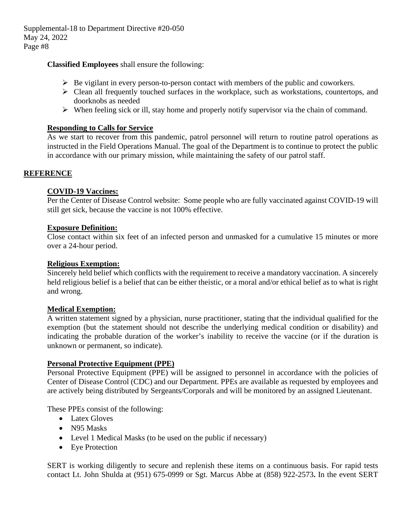#### **Classified Employees** shall ensure the following:

- $\triangleright$  Be vigilant in every person-to-person contact with members of the public and coworkers.
- $\triangleright$  Clean all frequently touched surfaces in the workplace, such as workstations, countertops, and doorknobs as needed
- $\triangleright$  When feeling sick or ill, stay home and properly notify supervisor via the chain of command.

### **Responding to Calls for Service**

As we start to recover from this pandemic, patrol personnel will return to routine patrol operations as instructed in the Field Operations Manual. The goal of the Department is to continue to protect the public in accordance with our primary mission, while maintaining the safety of our patrol staff.

## **REFERENCE**

### **COVID-19 Vaccines:**

Per the Center of Disease Control website: Some people who are fully vaccinated against COVID-19 will still get sick, because the vaccine is not 100% effective.

#### **Exposure Definition:**

Close contact within six feet of an infected person and unmasked for a cumulative 15 minutes or more over a 24-hour period.

#### **Religious Exemption:**

Sincerely held belief which conflicts with the requirement to receive a mandatory vaccination. A sincerely held religious belief is a belief that can be either theistic, or a moral and/or ethical belief as to what is right and wrong.

#### **Medical Exemption:**

A written statement signed by a physician, nurse practitioner, stating that the individual qualified for the exemption (but the statement should not describe the underlying medical condition or disability) and indicating the probable duration of the worker's inability to receive the vaccine (or if the duration is unknown or permanent, so indicate).

#### **Personal Protective Equipment (PPE)**

Personal Protective Equipment (PPE) will be assigned to personnel in accordance with the policies of Center of Disease Control (CDC) and our Department. PPEs are available as requested by employees and are actively being distributed by Sergeants/Corporals and will be monitored by an assigned Lieutenant.

These PPEs consist of the following:

- Latex Gloves
- N<sub>95</sub> Masks
- Level 1 Medical Masks (to be used on the public if necessary)
- Eye Protection

SERT is working diligently to secure and replenish these items on a continuous basis. For rapid tests contact Lt. John Shulda at (951) 675-0999 or Sgt. Marcus Abbe at (858) 922-2573**.** In the event SERT